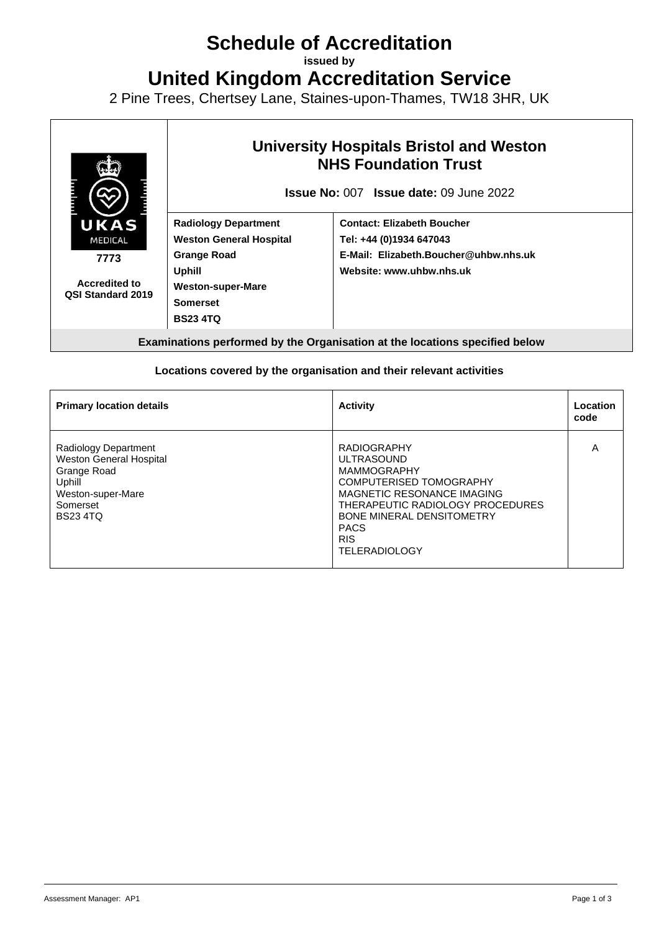# **Schedule of Accreditation**

**issued by**

**United Kingdom Accreditation Service**

2 Pine Trees, Chertsey Lane, Staines-upon-Thames, TW18 3HR, UK



#### **Locations covered by the organisation and their relevant activities**

| <b>Primary location details</b>                                                                                                    | <b>Activity</b>                                                                                                                                                                                                                                            | Location<br>code |
|------------------------------------------------------------------------------------------------------------------------------------|------------------------------------------------------------------------------------------------------------------------------------------------------------------------------------------------------------------------------------------------------------|------------------|
| Radiology Department<br><b>Weston General Hospital</b><br>Grange Road<br>Uphill<br>Weston-super-Mare<br>Somerset<br><b>BS234TQ</b> | <b>RADIOGRAPHY</b><br><b>ULTRASOUND</b><br><b>MAMMOGRAPHY</b><br><b>COMPUTERISED TOMOGRAPHY</b><br>MAGNETIC RESONANCE IMAGING<br>THERAPEUTIC RADIOLOGY PROCEDURES<br><b>BONE MINERAL DENSITOMETRY</b><br><b>PACS</b><br><b>RIS</b><br><b>TELERADIOLOGY</b> | A                |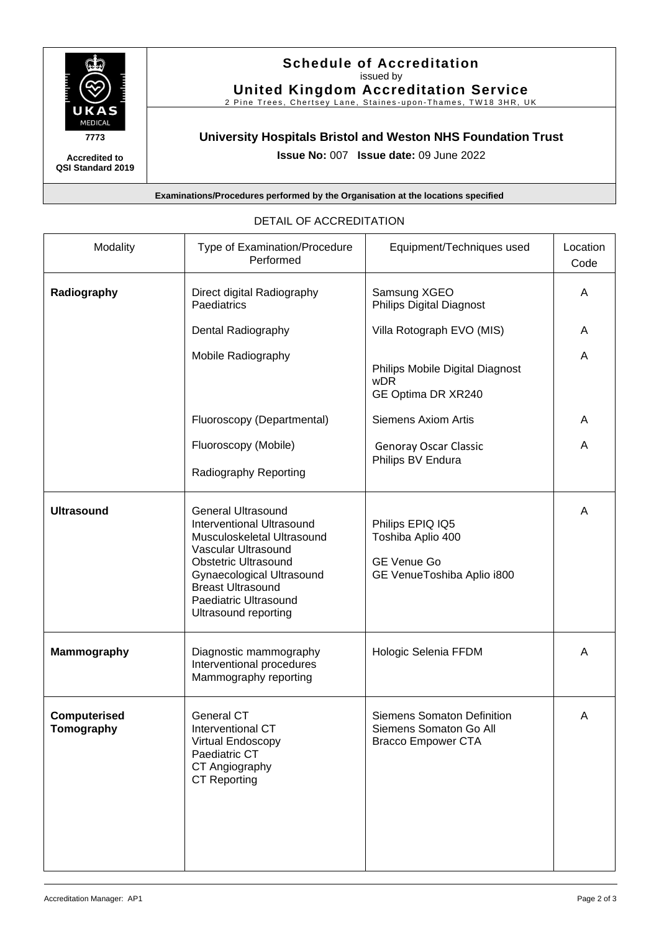

**Accredited to QSI Standard 2019**

## **Schedule of Accreditation**  issued by

**United Kingdom Accreditation Service**

2 Pine Trees, Chertsey Lane, Staines-upon-Thames, TW18 3HR, UK

## **University Hospitals Bristol and Weston NHS Foundation Trust**

**Issue No:** 007 **Issue date:** 09 June 2022

**Examinations/Procedures performed by the Organisation at the locations specified**

| Modality                   | Type of Examination/Procedure<br>Performed                                                                                                                                                                                                                  | Equipment/Techniques used                                                                 | Location<br>Code |
|----------------------------|-------------------------------------------------------------------------------------------------------------------------------------------------------------------------------------------------------------------------------------------------------------|-------------------------------------------------------------------------------------------|------------------|
| Radiography                | Direct digital Radiography<br>Paediatrics                                                                                                                                                                                                                   | Samsung XGEO<br><b>Philips Digital Diagnost</b>                                           | A                |
|                            | Dental Radiography                                                                                                                                                                                                                                          | Villa Rotograph EVO (MIS)                                                                 | A                |
|                            | Mobile Radiography                                                                                                                                                                                                                                          | Philips Mobile Digital Diagnost<br>wDR<br>GE Optima DR XR240                              | A                |
|                            | Fluoroscopy (Departmental)                                                                                                                                                                                                                                  | <b>Siemens Axiom Artis</b>                                                                | A                |
|                            | Fluoroscopy (Mobile)                                                                                                                                                                                                                                        | <b>Genoray Oscar Classic</b>                                                              | A                |
|                            | Radiography Reporting                                                                                                                                                                                                                                       | Philips BV Endura                                                                         |                  |
| <b>Ultrasound</b>          | <b>General Ultrasound</b><br><b>Interventional Ultrasound</b><br>Musculoskeletal Ultrasound<br>Vascular Ultrasound<br><b>Obstetric Ultrasound</b><br>Gynaecological Ultrasound<br><b>Breast Ultrasound</b><br>Paediatric Ultrasound<br>Ultrasound reporting | Philips EPIQ IQ5<br>Toshiba Aplio 400<br><b>GE Venue Go</b><br>GE VenueToshiba Aplio i800 | A                |
| <b>Mammography</b>         | Diagnostic mammography<br>Interventional procedures<br>Mammography reporting                                                                                                                                                                                | Hologic Selenia FFDM                                                                      | A                |
| Computerised<br>Tomography | <b>General CT</b><br>Interventional CT<br>Virtual Endoscopy<br>Paediatric CT<br>CT Angiography<br><b>CT Reporting</b>                                                                                                                                       | <b>Siemens Somaton Definition</b><br>Siemens Somaton Go All<br><b>Bracco Empower CTA</b>  | A                |

#### DETAIL OF ACCREDITATION